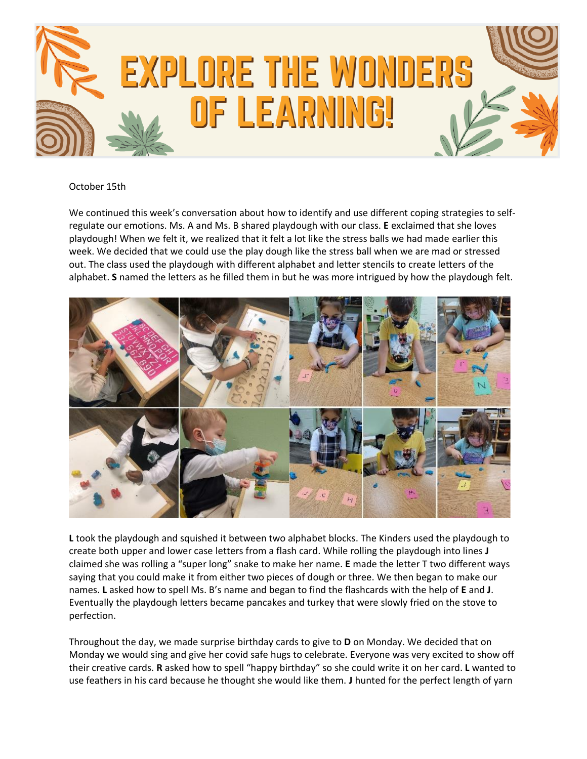

October 15th

We continued this week's conversation about how to identify and use different coping strategies to selfregulate our emotions. Ms. A and Ms. B shared playdough with our class. **E** exclaimed that she loves playdough! When we felt it, we realized that it felt a lot like the stress balls we had made earlier this week. We decided that we could use the play dough like the stress ball when we are mad or stressed out. The class used the playdough with different alphabet and letter stencils to create letters of the alphabet. **S** named the letters as he filled them in but he was more intrigued by how the playdough felt.



**L** took the playdough and squished it between two alphabet blocks. The Kinders used the playdough to create both upper and lower case letters from a flash card. While rolling the playdough into lines **J**  claimed she was rolling a "super long" snake to make her name. **E** made the letter T two different ways saying that you could make it from either two pieces of dough or three. We then began to make our names. **L** asked how to spell Ms. B's name and began to find the flashcards with the help of **E** and **J**. Eventually the playdough letters became pancakes and turkey that were slowly fried on the stove to perfection.

Throughout the day, we made surprise birthday cards to give to **D** on Monday. We decided that on Monday we would sing and give her covid safe hugs to celebrate. Everyone was very excited to show off their creative cards. **R** asked how to spell "happy birthday" so she could write it on her card. **L** wanted to use feathers in his card because he thought she would like them. **J** hunted for the perfect length of yarn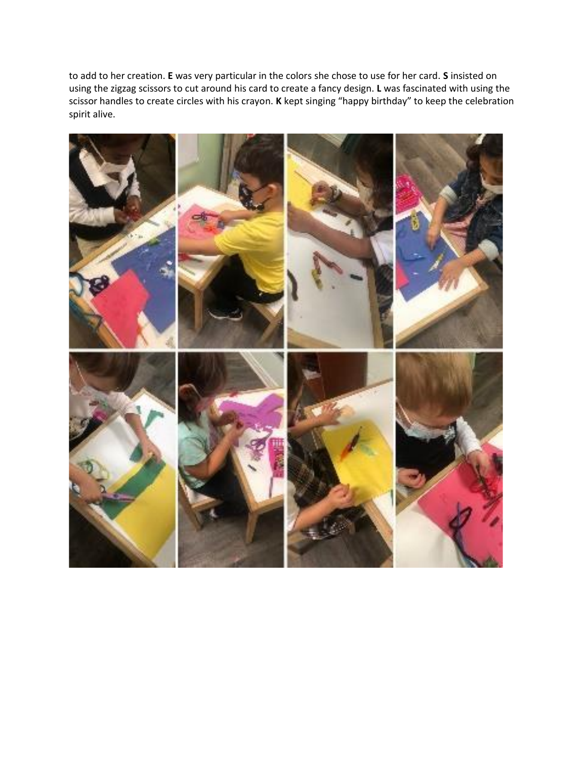to add to her creation. **E** was very particular in the colors she chose to use for her card. **S** insisted on using the zigzag scissors to cut around his card to create a fancy design. **L** was fascinated with using the scissor handles to create circles with his crayon. **K** kept singing "happy birthday" to keep the celebration spirit alive.

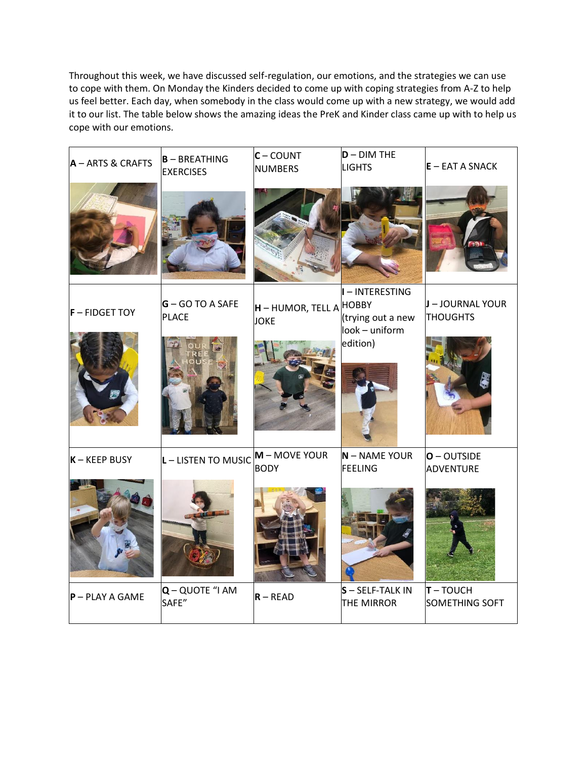Throughout this week, we have discussed self-regulation, our emotions, and the strategies we can use to cope with them. On Monday the Kinders decided to come up with coping strategies from A-Z to help us feel better. Each day, when somebody in the class would come up with a new strategy, we would add it to our list. The table below shows the amazing ideas the PreK and Kinder class came up with to help us cope with our emotions.

| $A - ARTS & CRAFTS$ | $B - BREATHING$<br><b>EXERCISES</b> | $C - COUNT$<br><b>NUMBERS</b>                 | $D - DIM THE$<br><b>LIGHTS</b>                         | $E - EAT A SNACK$                   |
|---------------------|-------------------------------------|-----------------------------------------------|--------------------------------------------------------|-------------------------------------|
|                     |                                     |                                               |                                                        |                                     |
| $F$ – FIDGET TOY    | $G - GO TO A SAFE$<br>PLACE         | <b>H</b> – HUMOR, TELL A HOBBY<br><b>JOKE</b> | I - INTERESTING<br>(trying out a new<br>look - uniform | J - JOURNAL YOUR<br><b>THOUGHTS</b> |
|                     |                                     |                                               | edition)                                               |                                     |
| $K - KEEP$ BUSY     | $L$ – LISTEN TO MUSIC               | $M - MOVE YOUR$<br><b>BODY</b>                | $N - NAME YOUR$<br>FEELING                             | $O - OUTSIDE$<br>ADVENTURE          |
|                     |                                     |                                               |                                                        |                                     |
| $P - PLAY A GAME$   | $Q - QUOTE$ "I AM<br>SAFE"          | $R - READ$                                    | $S - SELF-TALK IN$<br>THE MIRROR                       | $T - TOUCH$<br>SOMETHING SOFT       |